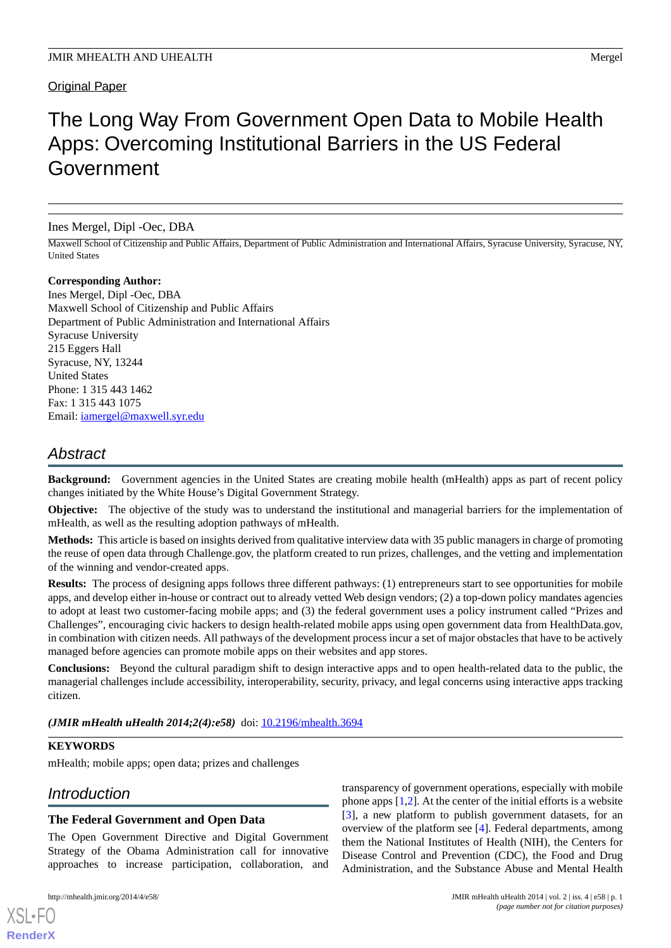# Original Paper

# The Long Way From Government Open Data to Mobile Health Apps: Overcoming Institutional Barriers in the US Federal Government

Ines Mergel, Dipl -Oec, DBA

Maxwell School of Citizenship and Public Affairs, Department of Public Administration and International Affairs, Syracuse University, Syracuse, NY, United States

## **Corresponding Author:**

Ines Mergel, Dipl -Oec, DBA Maxwell School of Citizenship and Public Affairs Department of Public Administration and International Affairs Syracuse University 215 Eggers Hall Syracuse, NY, 13244 United States Phone: 1 315 443 1462 Fax: 1 315 443 1075 Email: [iamergel@maxwell.syr.edu](mailto:iamergel@maxwell.syr.edu)

# *Abstract*

**Background:** Government agencies in the United States are creating mobile health (mHealth) apps as part of recent policy changes initiated by the White House's Digital Government Strategy.

**Objective:** The objective of the study was to understand the institutional and managerial barriers for the implementation of mHealth, as well as the resulting adoption pathways of mHealth.

**Methods:** This article is based on insights derived from qualitative interview data with 35 public managers in charge of promoting the reuse of open data through Challenge.gov, the platform created to run prizes, challenges, and the vetting and implementation of the winning and vendor-created apps.

**Results:** The process of designing apps follows three different pathways: (1) entrepreneurs start to see opportunities for mobile apps, and develop either in-house or contract out to already vetted Web design vendors; (2) a top-down policy mandates agencies to adopt at least two customer-facing mobile apps; and (3) the federal government uses a policy instrument called "Prizes and Challenges", encouraging civic hackers to design health-related mobile apps using open government data from HealthData.gov, in combination with citizen needs. All pathways of the development process incur a set of major obstacles that have to be actively managed before agencies can promote mobile apps on their websites and app stores.

**Conclusions:** Beyond the cultural paradigm shift to design interactive apps and to open health-related data to the public, the managerial challenges include accessibility, interoperability, security, privacy, and legal concerns using interactive apps tracking citizen.

*(JMIR mHealth uHealth 2014;2(4):e58)* doi: [10.2196/mhealth.3694](http://dx.doi.org/10.2196/mhealth.3694)

# **KEYWORDS**

mHealth; mobile apps; open data; prizes and challenges

# *Introduction*

# **The Federal Government and Open Data**

The Open Government Directive and Digital Government Strategy of the Obama Administration call for innovative approaches to increase participation, collaboration, and

[XSL](http://www.w3.org/Style/XSL)•FO **[RenderX](http://www.renderx.com/)**

transparency of government operations, especially with mobile phone apps [\[1](#page-10-0),[2\]](#page-10-1). At the center of the initial efforts is a website [[3\]](#page-10-2), a new platform to publish government datasets, for an overview of the platform see [\[4](#page-10-3)]. Federal departments, among them the National Institutes of Health (NIH), the Centers for Disease Control and Prevention (CDC), the Food and Drug Administration, and the Substance Abuse and Mental Health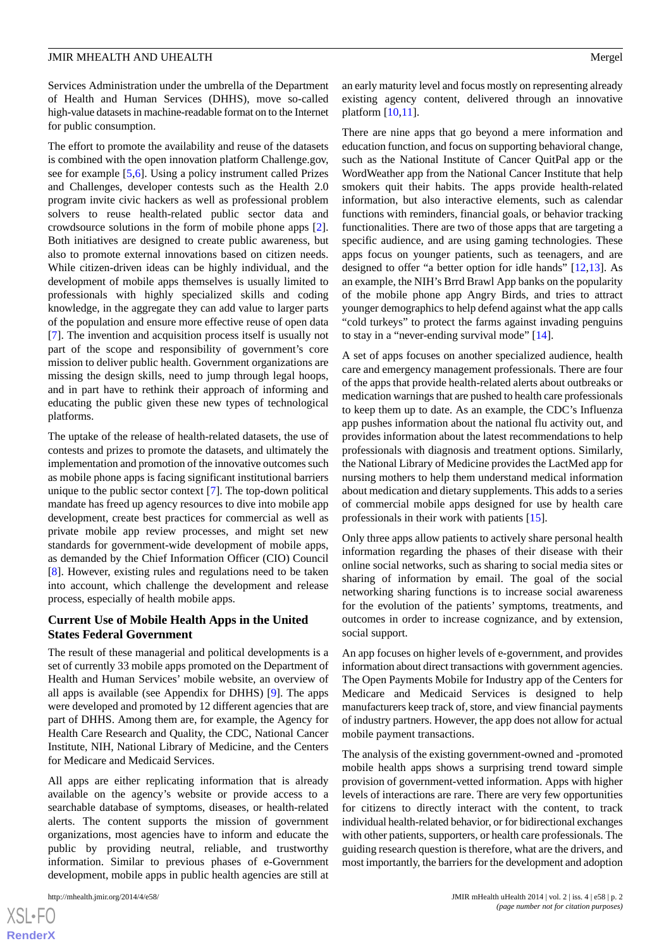Services Administration under the umbrella of the Department of Health and Human Services (DHHS), move so-called high-value datasets in machine-readable format on to the Internet for public consumption.

The effort to promote the availability and reuse of the datasets is combined with the open innovation platform Challenge.gov, see for example [\[5](#page-10-4),[6\]](#page-10-5). Using a policy instrument called Prizes and Challenges, developer contests such as the Health 2.0 program invite civic hackers as well as professional problem solvers to reuse health-related public sector data and crowdsource solutions in the form of mobile phone apps [[2\]](#page-10-1). Both initiatives are designed to create public awareness, but also to promote external innovations based on citizen needs. While citizen-driven ideas can be highly individual, and the development of mobile apps themselves is usually limited to professionals with highly specialized skills and coding knowledge, in the aggregate they can add value to larger parts of the population and ensure more effective reuse of open data [[7\]](#page-11-0). The invention and acquisition process itself is usually not part of the scope and responsibility of government's core mission to deliver public health. Government organizations are missing the design skills, need to jump through legal hoops, and in part have to rethink their approach of informing and educating the public given these new types of technological platforms.

The uptake of the release of health-related datasets, the use of contests and prizes to promote the datasets, and ultimately the implementation and promotion of the innovative outcomes such as mobile phone apps is facing significant institutional barriers unique to the public sector context [[7\]](#page-11-0). The top-down political mandate has freed up agency resources to dive into mobile app development, create best practices for commercial as well as private mobile app review processes, and might set new standards for government-wide development of mobile apps, as demanded by the Chief Information Officer (CIO) Council [[8\]](#page-11-1). However, existing rules and regulations need to be taken into account, which challenge the development and release process, especially of health mobile apps.

# **Current Use of Mobile Health Apps in the United States Federal Government**

The result of these managerial and political developments is a set of currently 33 mobile apps promoted on the Department of Health and Human Services' mobile website, an overview of all apps is available (see Appendix for DHHS) [\[9](#page-11-2)]. The apps were developed and promoted by 12 different agencies that are part of DHHS. Among them are, for example, the Agency for Health Care Research and Quality, the CDC, National Cancer Institute, NIH, National Library of Medicine, and the Centers for Medicare and Medicaid Services.

All apps are either replicating information that is already available on the agency's website or provide access to a searchable database of symptoms, diseases, or health-related alerts. The content supports the mission of government organizations, most agencies have to inform and educate the public by providing neutral, reliable, and trustworthy information. Similar to previous phases of e-Government development, mobile apps in public health agencies are still at

[XSL](http://www.w3.org/Style/XSL)•FO **[RenderX](http://www.renderx.com/)**

an early maturity level and focus mostly on representing already existing agency content, delivered through an innovative platform [[10](#page-11-3)[,11](#page-11-4)].

There are nine apps that go beyond a mere information and education function, and focus on supporting behavioral change, such as the National Institute of Cancer QuitPal app or the WordWeather app from the National Cancer Institute that help smokers quit their habits. The apps provide health-related information, but also interactive elements, such as calendar functions with reminders, financial goals, or behavior tracking functionalities. There are two of those apps that are targeting a specific audience, and are using gaming technologies. These apps focus on younger patients, such as teenagers, and are designed to offer "a better option for idle hands" [\[12](#page-11-5),[13\]](#page-11-6). As an example, the NIH's Brrd Brawl App banks on the popularity of the mobile phone app Angry Birds, and tries to attract younger demographics to help defend against what the app calls "cold turkeys" to protect the farms against invading penguins to stay in a "never-ending survival mode" [[14\]](#page-11-7).

A set of apps focuses on another specialized audience, health care and emergency management professionals. There are four of the apps that provide health-related alerts about outbreaks or medication warnings that are pushed to health care professionals to keep them up to date. As an example, the CDC's Influenza app pushes information about the national flu activity out, and provides information about the latest recommendations to help professionals with diagnosis and treatment options. Similarly, the National Library of Medicine provides the LactMed app for nursing mothers to help them understand medical information about medication and dietary supplements. This adds to a series of commercial mobile apps designed for use by health care professionals in their work with patients [\[15](#page-11-8)].

Only three apps allow patients to actively share personal health information regarding the phases of their disease with their online social networks, such as sharing to social media sites or sharing of information by email. The goal of the social networking sharing functions is to increase social awareness for the evolution of the patients' symptoms, treatments, and outcomes in order to increase cognizance, and by extension, social support.

An app focuses on higher levels of e-government, and provides information about direct transactions with government agencies. The Open Payments Mobile for Industry app of the Centers for Medicare and Medicaid Services is designed to help manufacturers keep track of, store, and view financial payments of industry partners. However, the app does not allow for actual mobile payment transactions.

The analysis of the existing government-owned and -promoted mobile health apps shows a surprising trend toward simple provision of government-vetted information. Apps with higher levels of interactions are rare. There are very few opportunities for citizens to directly interact with the content, to track individual health-related behavior, or for bidirectional exchanges with other patients, supporters, or health care professionals. The guiding research question is therefore, what are the drivers, and most importantly, the barriers for the development and adoption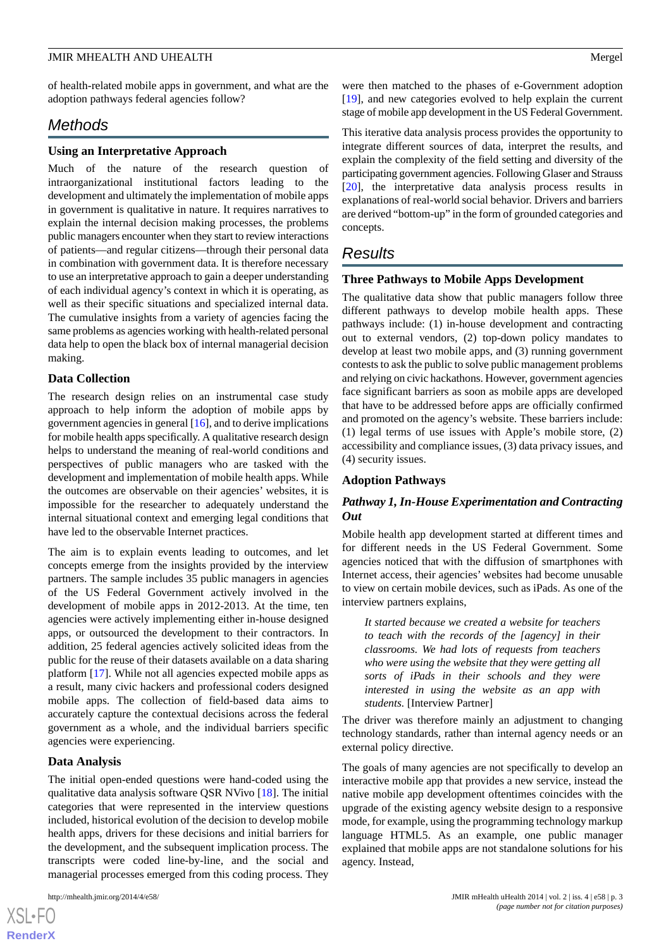of health-related mobile apps in government, and what are the adoption pathways federal agencies follow?

# *Methods*

## **Using an Interpretative Approach**

Much of the nature of the research question of intraorganizational institutional factors leading to the development and ultimately the implementation of mobile apps in government is qualitative in nature. It requires narratives to explain the internal decision making processes, the problems public managers encounter when they start to review interactions of patients—and regular citizens—through their personal data in combination with government data. It is therefore necessary to use an interpretative approach to gain a deeper understanding of each individual agency's context in which it is operating, as well as their specific situations and specialized internal data. The cumulative insights from a variety of agencies facing the same problems as agencies working with health-related personal data help to open the black box of internal managerial decision making.

## **Data Collection**

The research design relies on an instrumental case study approach to help inform the adoption of mobile apps by government agencies in general [\[16](#page-11-9)], and to derive implications for mobile health apps specifically. A qualitative research design helps to understand the meaning of real-world conditions and perspectives of public managers who are tasked with the development and implementation of mobile health apps. While the outcomes are observable on their agencies' websites, it is impossible for the researcher to adequately understand the internal situational context and emerging legal conditions that have led to the observable Internet practices.

The aim is to explain events leading to outcomes, and let concepts emerge from the insights provided by the interview partners. The sample includes 35 public managers in agencies of the US Federal Government actively involved in the development of mobile apps in 2012-2013. At the time, ten agencies were actively implementing either in-house designed apps, or outsourced the development to their contractors. In addition, 25 federal agencies actively solicited ideas from the public for the reuse of their datasets available on a data sharing platform [[17\]](#page-11-10). While not all agencies expected mobile apps as a result, many civic hackers and professional coders designed mobile apps. The collection of field-based data aims to accurately capture the contextual decisions across the federal government as a whole, and the individual barriers specific agencies were experiencing.

#### **Data Analysis**

The initial open-ended questions were hand-coded using the qualitative data analysis software QSR NVivo [[18\]](#page-11-11). The initial categories that were represented in the interview questions included, historical evolution of the decision to develop mobile health apps, drivers for these decisions and initial barriers for the development, and the subsequent implication process. The transcripts were coded line-by-line, and the social and managerial processes emerged from this coding process. They

were then matched to the phases of e-Government adoption [[19\]](#page-11-12), and new categories evolved to help explain the current stage of mobile app development in the US Federal Government.

This iterative data analysis process provides the opportunity to integrate different sources of data, interpret the results, and explain the complexity of the field setting and diversity of the participating government agencies. Following Glaser and Strauss [[20\]](#page-11-13), the interpretative data analysis process results in explanations of real-world social behavior. Drivers and barriers are derived "bottom-up" in the form of grounded categories and concepts.

# *Results*

# **Three Pathways to Mobile Apps Development**

The qualitative data show that public managers follow three different pathways to develop mobile health apps. These pathways include: (1) in-house development and contracting out to external vendors, (2) top-down policy mandates to develop at least two mobile apps, and (3) running government contests to ask the public to solve public management problems and relying on civic hackathons. However, government agencies face significant barriers as soon as mobile apps are developed that have to be addressed before apps are officially confirmed and promoted on the agency's website. These barriers include: (1) legal terms of use issues with Apple's mobile store, (2) accessibility and compliance issues, (3) data privacy issues, and (4) security issues.

#### **Adoption Pathways**

# *Pathway 1, In-House Experimentation and Contracting Out*

Mobile health app development started at different times and for different needs in the US Federal Government. Some agencies noticed that with the diffusion of smartphones with Internet access, their agencies' websites had become unusable to view on certain mobile devices, such as iPads. As one of the interview partners explains,

*It started because we created a website for teachers to teach with the records of the [agency] in their classrooms. We had lots of requests from teachers who were using the website that they were getting all sorts of iPads in their schools and they were interested in using the website as an app with students.* [Interview Partner]

The driver was therefore mainly an adjustment to changing technology standards, rather than internal agency needs or an external policy directive.

The goals of many agencies are not specifically to develop an interactive mobile app that provides a new service, instead the native mobile app development oftentimes coincides with the upgrade of the existing agency website design to a responsive mode, for example, using the programming technology markup language HTML5. As an example, one public manager explained that mobile apps are not standalone solutions for his agency. Instead,

```
XS-FO
RenderX
```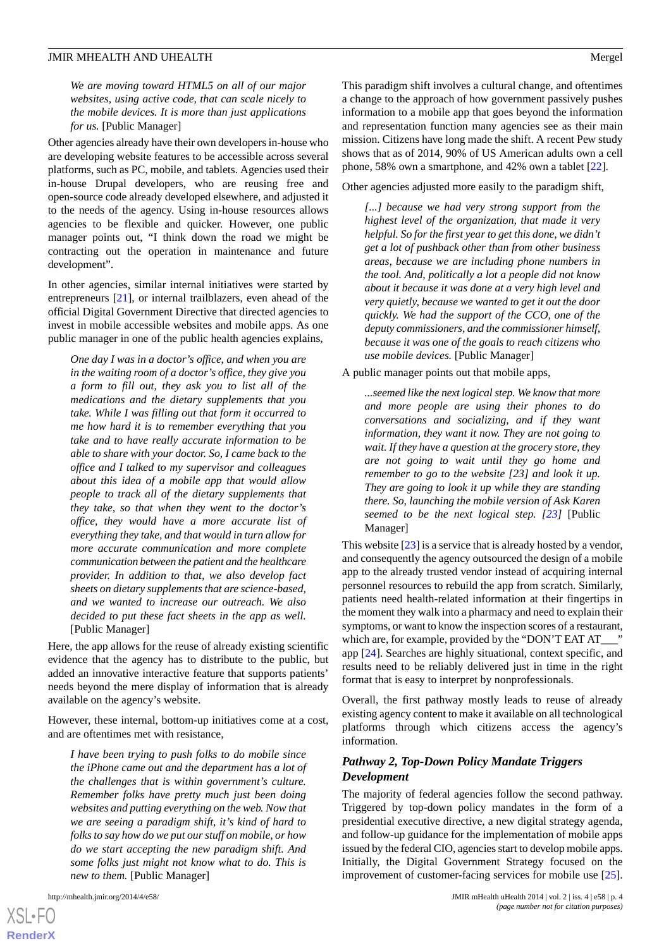*We are moving toward HTML5 on all of our major websites, using active code, that can scale nicely to the mobile devices. It is more than just applications for us.* [Public Manager]

Other agencies already have their own developers in-house who are developing website features to be accessible across several platforms, such as PC, mobile, and tablets. Agencies used their in-house Drupal developers, who are reusing free and open-source code already developed elsewhere, and adjusted it to the needs of the agency. Using in-house resources allows agencies to be flexible and quicker. However, one public manager points out, "I think down the road we might be contracting out the operation in maintenance and future development".

In other agencies, similar internal initiatives were started by entrepreneurs [[21\]](#page-11-14), or internal trailblazers, even ahead of the official Digital Government Directive that directed agencies to invest in mobile accessible websites and mobile apps. As one public manager in one of the public health agencies explains,

*One day I was in a doctor's office, and when you are in the waiting room of a doctor's office, they give you a form to fill out, they ask you to list all of the medications and the dietary supplements that you take. While I was filling out that form it occurred to me how hard it is to remember everything that you take and to have really accurate information to be able to share with your doctor. So, I came back to the office and I talked to my supervisor and colleagues about this idea of a mobile app that would allow people to track all of the dietary supplements that they take, so that when they went to the doctor's office, they would have a more accurate list of everything they take, and that would in turn allow for more accurate communication and more complete communication between the patient and the healthcare provider. In addition to that, we also develop fact sheets on dietary supplements that are science-based, and we wanted to increase our outreach. We also decided to put these fact sheets in the app as well.* [Public Manager]

Here, the app allows for the reuse of already existing scientific evidence that the agency has to distribute to the public, but added an innovative interactive feature that supports patients' needs beyond the mere display of information that is already available on the agency's website.

However, these internal, bottom-up initiatives come at a cost, and are oftentimes met with resistance,

*I have been trying to push folks to do mobile since the iPhone came out and the department has a lot of the challenges that is within government's culture. Remember folks have pretty much just been doing websites and putting everything on the web. Now that we are seeing a paradigm shift, it's kind of hard to folks to say how do we put our stuff on mobile, or how do we start accepting the new paradigm shift. And some folks just might not know what to do. This is new to them.* [Public Manager]

This paradigm shift involves a cultural change, and oftentimes a change to the approach of how government passively pushes information to a mobile app that goes beyond the information and representation function many agencies see as their main mission. Citizens have long made the shift. A recent Pew study shows that as of 2014, 90% of US American adults own a cell phone, 58% own a smartphone, and 42% own a tablet [\[22](#page-11-15)].

Other agencies adjusted more easily to the paradigm shift,

*[...] because we had very strong support from the highest level of the organization, that made it very helpful. So for the first year to get this done, we didn't get a lot of pushback other than from other business areas, because we are including phone numbers in the tool. And, politically a lot a people did not know about it because it was done at a very high level and very quietly, because we wanted to get it out the door quickly. We had the support of the CCO, one of the deputy commissioners, and the commissioner himself, because it was one of the goals to reach citizens who use mobile devices.* [Public Manager]

#### A public manager points out that mobile apps,

*...seemed like the next logical step. We know that more and more people are using their phones to do conversations and socializing, and if they want information, they want it now. They are not going to wait. If they have a question at the grocery store, they are not going to wait until they go home and remember to go to the website [23] and look it up. They are going to look it up while they are standing there. So, launching the mobile version of Ask Karen seemed to be the next logical step. [[23\]](#page-11-16)* [Public Manager]

This website [\[23](#page-11-16)] is a service that is already hosted by a vendor, and consequently the agency outsourced the design of a mobile app to the already trusted vendor instead of acquiring internal personnel resources to rebuild the app from scratch. Similarly, patients need health-related information at their fingertips in the moment they walk into a pharmacy and need to explain their symptoms, or want to know the inspection scores of a restaurant, which are, for example, provided by the "DON'T EAT AT\_\_\_\_ app [\[24](#page-11-17)]. Searches are highly situational, context specific, and results need to be reliably delivered just in time in the right format that is easy to interpret by nonprofessionals.

Overall, the first pathway mostly leads to reuse of already existing agency content to make it available on all technological platforms through which citizens access the agency's information.

# *Pathway 2, Top-Down Policy Mandate Triggers Development*

The majority of federal agencies follow the second pathway. Triggered by top-down policy mandates in the form of a presidential executive directive, a new digital strategy agenda, and follow-up guidance for the implementation of mobile apps issued by the federal CIO, agencies start to develop mobile apps. Initially, the Digital Government Strategy focused on the improvement of customer-facing services for mobile use [[25\]](#page-11-18).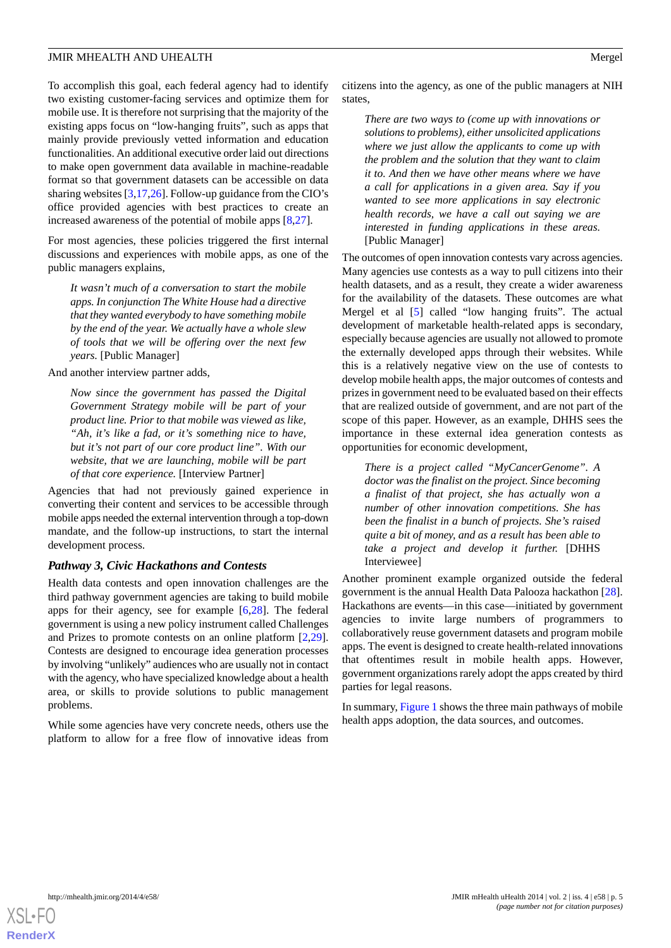To accomplish this goal, each federal agency had to identify two existing customer-facing services and optimize them for mobile use. It is therefore not surprising that the majority of the existing apps focus on "low-hanging fruits", such as apps that mainly provide previously vetted information and education functionalities. An additional executive order laid out directions to make open government data available in machine-readable format so that government datasets can be accessible on data sharing websites [[3](#page-10-2),[17,](#page-11-10)[26\]](#page-11-19). Follow-up guidance from the CIO's office provided agencies with best practices to create an increased awareness of the potential of mobile apps [\[8](#page-11-1),[27\]](#page-11-20).

For most agencies, these policies triggered the first internal discussions and experiences with mobile apps, as one of the public managers explains,

*It wasn't much of a conversation to start the mobile apps. In conjunction The White House had a directive that they wanted everybody to have something mobile by the end of the year. We actually have a whole slew of tools that we will be offering over the next few years.* [Public Manager]

And another interview partner adds,

*Now since the government has passed the Digital Government Strategy mobile will be part of your product line. Prior to that mobile was viewed as like, "Ah, it's like a fad, or it's something nice to have, but it's not part of our core product line". With our website, that we are launching, mobile will be part of that core experience.* [Interview Partner]

Agencies that had not previously gained experience in converting their content and services to be accessible through mobile apps needed the external intervention through a top-down mandate, and the follow-up instructions, to start the internal development process.

# *Pathway 3, Civic Hackathons and Contests*

Health data contests and open innovation challenges are the third pathway government agencies are taking to build mobile apps for their agency, see for example [[6](#page-10-5)[,28](#page-11-21)]. The federal government is using a new policy instrument called Challenges and Prizes to promote contests on an online platform [\[2](#page-10-1),[29\]](#page-11-22). Contests are designed to encourage idea generation processes by involving "unlikely" audiences who are usually not in contact with the agency, who have specialized knowledge about a health area, or skills to provide solutions to public management problems.

While some agencies have very concrete needs, others use the platform to allow for a free flow of innovative ideas from citizens into the agency, as one of the public managers at NIH states,

*There are two ways to (come up with innovations or solutions to problems), either unsolicited applications where we just allow the applicants to come up with the problem and the solution that they want to claim it to. And then we have other means where we have a call for applications in a given area. Say if you wanted to see more applications in say electronic health records, we have a call out saying we are interested in funding applications in these areas.* [Public Manager]

The outcomes of open innovation contests vary across agencies. Many agencies use contests as a way to pull citizens into their health datasets, and as a result, they create a wider awareness for the availability of the datasets. These outcomes are what Mergel et al [\[5](#page-10-4)] called "low hanging fruits". The actual development of marketable health-related apps is secondary, especially because agencies are usually not allowed to promote the externally developed apps through their websites. While this is a relatively negative view on the use of contests to develop mobile health apps, the major outcomes of contests and prizes in government need to be evaluated based on their effects that are realized outside of government, and are not part of the scope of this paper. However, as an example, DHHS sees the importance in these external idea generation contests as opportunities for economic development,

*There is a project called "MyCancerGenome". A doctor was the finalist on the project. Since becoming a finalist of that project, she has actually won a number of other innovation competitions. She has been the finalist in a bunch of projects. She's raised quite a bit of money, and as a result has been able to take a project and develop it further.* [DHHS Interviewee]

Another prominent example organized outside the federal government is the annual Health Data Palooza hackathon [[28\]](#page-11-21). Hackathons are events—in this case—initiated by government agencies to invite large numbers of programmers to collaboratively reuse government datasets and program mobile apps. The event is designed to create health-related innovations that oftentimes result in mobile health apps. However, government organizations rarely adopt the apps created by third parties for legal reasons.

In summary, [Figure 1](#page-5-0) shows the three main pathways of mobile health apps adoption, the data sources, and outcomes.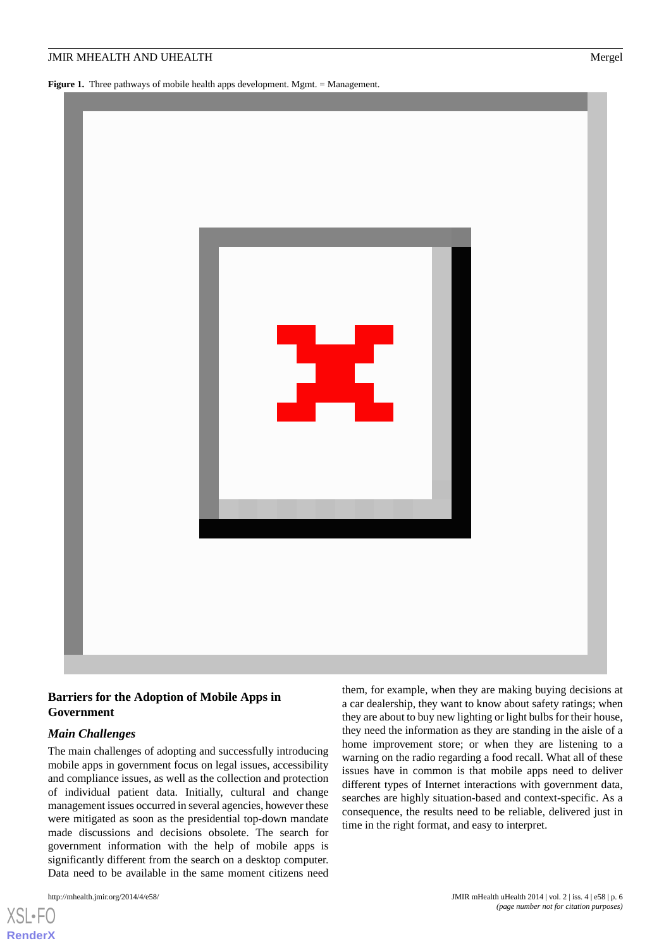<span id="page-5-0"></span>**Figure 1.** Three pathways of mobile health apps development. Mgmt. = Management.



# **Barriers for the Adoption of Mobile Apps in Government**

# *Main Challenges*

The main challenges of adopting and successfully introducing mobile apps in government focus on legal issues, accessibility and compliance issues, as well as the collection and protection of individual patient data. Initially, cultural and change management issues occurred in several agencies, however these were mitigated as soon as the presidential top-down mandate made discussions and decisions obsolete. The search for government information with the help of mobile apps is significantly different from the search on a desktop computer. Data need to be available in the same moment citizens need

[XSL](http://www.w3.org/Style/XSL)•FO **[RenderX](http://www.renderx.com/)**

them, for example, when they are making buying decisions at a car dealership, they want to know about safety ratings; when they are about to buy new lighting or light bulbs for their house, they need the information as they are standing in the aisle of a home improvement store; or when they are listening to a warning on the radio regarding a food recall. What all of these issues have in common is that mobile apps need to deliver different types of Internet interactions with government data, searches are highly situation-based and context-specific. As a consequence, the results need to be reliable, delivered just in time in the right format, and easy to interpret.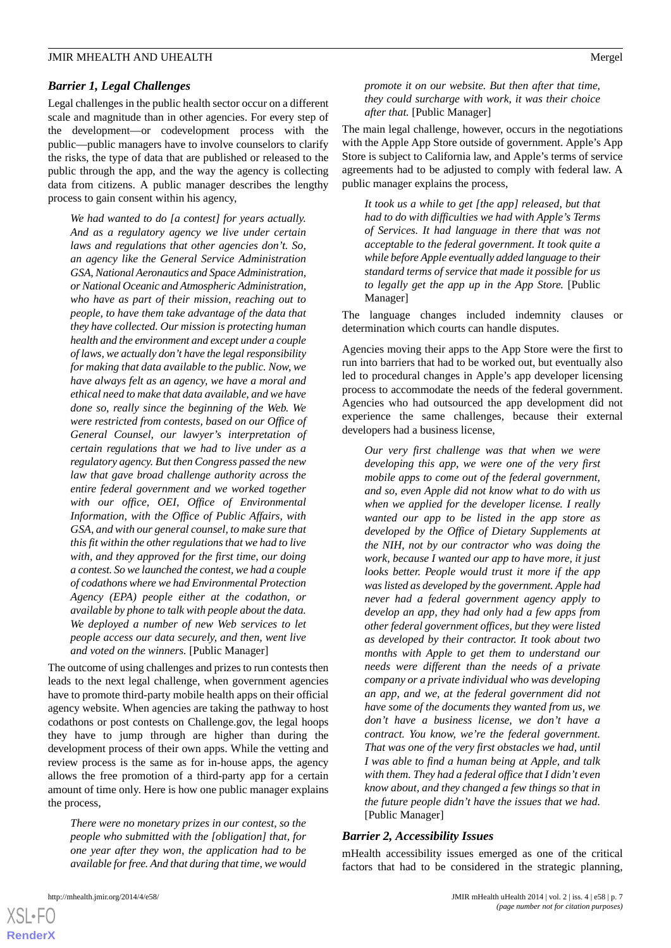## *Barrier 1, Legal Challenges*

Legal challenges in the public health sector occur on a different scale and magnitude than in other agencies. For every step of the development—or codevelopment process with the public—public managers have to involve counselors to clarify the risks, the type of data that are published or released to the public through the app, and the way the agency is collecting data from citizens. A public manager describes the lengthy process to gain consent within his agency,

*We had wanted to do [a contest] for years actually. And as a regulatory agency we live under certain laws and regulations that other agencies don't. So, an agency like the General Service Administration GSA, National Aeronautics and Space Administration, or National Oceanic and Atmospheric Administration, who have as part of their mission, reaching out to people, to have them take advantage of the data that they have collected. Our mission is protecting human health and the environment and except under a couple of laws, we actually don't have the legal responsibility for making that data available to the public. Now, we have always felt as an agency, we have a moral and ethical need to make that data available, and we have done so, really since the beginning of the Web. We were restricted from contests, based on our Office of General Counsel, our lawyer's interpretation of certain regulations that we had to live under as a regulatory agency. But then Congress passed the new law that gave broad challenge authority across the entire federal government and we worked together with our office, OEI, Office of Environmental Information, with the Office of Public Affairs, with GSA, and with our general counsel, to make sure that this fit within the other regulations that we had to live with, and they approved for the first time, our doing a contest. So we launched the contest, we had a couple of codathons where we had Environmental Protection Agency (EPA) people either at the codathon, or available by phone to talk with people about the data. We deployed a number of new Web services to let people access our data securely, and then, went live and voted on the winners.* [Public Manager]

The outcome of using challenges and prizes to run contests then leads to the next legal challenge, when government agencies have to promote third-party mobile health apps on their official agency website. When agencies are taking the pathway to host codathons or post contests on Challenge.gov, the legal hoops they have to jump through are higher than during the development process of their own apps. While the vetting and review process is the same as for in-house apps, the agency allows the free promotion of a third-party app for a certain amount of time only. Here is how one public manager explains the process,

*There were no monetary prizes in our contest, so the people who submitted with the [obligation] that, for one year after they won, the application had to be available for free. And that during that time, we would*

*promote it on our website. But then after that time, they could surcharge with work, it was their choice after that.* [Public Manager]

The main legal challenge, however, occurs in the negotiations with the Apple App Store outside of government. Apple's App Store is subject to California law, and Apple's terms of service agreements had to be adjusted to comply with federal law. A public manager explains the process,

*It took us a while to get [the app] released, but that had to do with difficulties we had with Apple's Terms of Services. It had language in there that was not acceptable to the federal government. It took quite a while before Apple eventually added language to their standard terms of service that made it possible for us to legally get the app up in the App Store.* [Public Manager]

The language changes included indemnity clauses or determination which courts can handle disputes.

Agencies moving their apps to the App Store were the first to run into barriers that had to be worked out, but eventually also led to procedural changes in Apple's app developer licensing process to accommodate the needs of the federal government. Agencies who had outsourced the app development did not experience the same challenges, because their external developers had a business license,

*Our very first challenge was that when we were developing this app, we were one of the very first mobile apps to come out of the federal government, and so, even Apple did not know what to do with us when we applied for the developer license. I really wanted our app to be listed in the app store as developed by the Office of Dietary Supplements at the NIH, not by our contractor who was doing the work, because I wanted our app to have more, it just looks better. People would trust it more if the app was listed as developed by the government. Apple had never had a federal government agency apply to develop an app, they had only had a few apps from other federal government offices, but they were listed as developed by their contractor. It took about two months with Apple to get them to understand our needs were different than the needs of a private company or a private individual who was developing an app, and we, at the federal government did not have some of the documents they wanted from us, we don't have a business license, we don't have a contract. You know, we're the federal government. That was one of the very first obstacles we had, until I was able to find a human being at Apple, and talk with them. They had a federal office that I didn't even know about, and they changed a few things so that in the future people didn't have the issues that we had.* [Public Manager]

#### *Barrier 2, Accessibility Issues*

mHealth accessibility issues emerged as one of the critical factors that had to be considered in the strategic planning,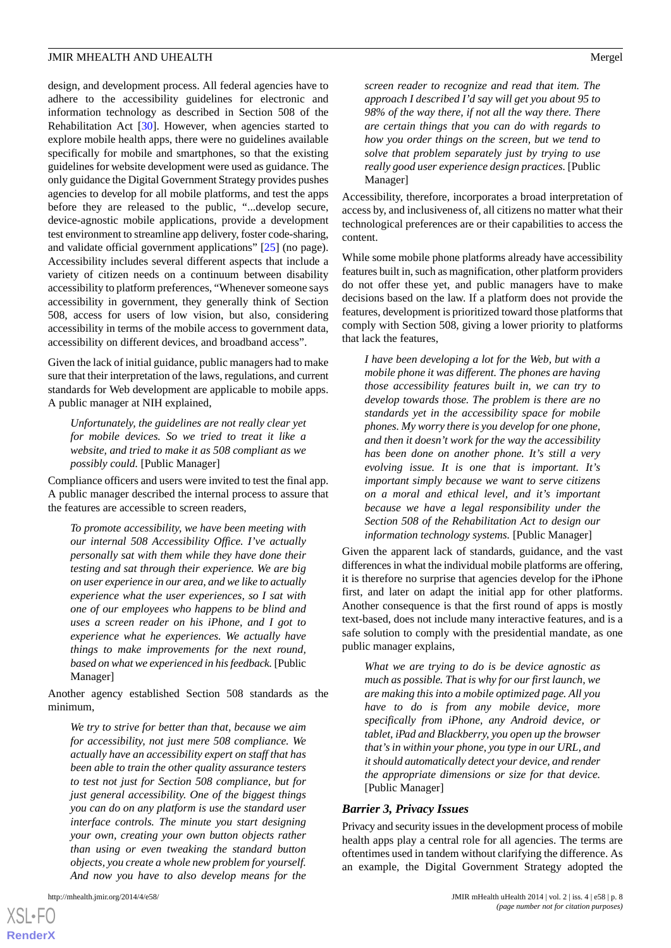design, and development process. All federal agencies have to adhere to the accessibility guidelines for electronic and information technology as described in Section 508 of the Rehabilitation Act [[30\]](#page-11-23). However, when agencies started to explore mobile health apps, there were no guidelines available specifically for mobile and smartphones, so that the existing guidelines for website development were used as guidance. The only guidance the Digital Government Strategy provides pushes agencies to develop for all mobile platforms, and test the apps before they are released to the public, "...develop secure, device-agnostic mobile applications, provide a development test environment to streamline app delivery, foster code-sharing, and validate official government applications" [[25\]](#page-11-18) (no page). Accessibility includes several different aspects that include a variety of citizen needs on a continuum between disability accessibility to platform preferences, "Whenever someone says accessibility in government, they generally think of Section 508, access for users of low vision, but also, considering accessibility in terms of the mobile access to government data, accessibility on different devices, and broadband access".

Given the lack of initial guidance, public managers had to make sure that their interpretation of the laws, regulations, and current standards for Web development are applicable to mobile apps. A public manager at NIH explained,

*Unfortunately, the guidelines are not really clear yet for mobile devices. So we tried to treat it like a website, and tried to make it as 508 compliant as we possibly could.* [Public Manager]

Compliance officers and users were invited to test the final app. A public manager described the internal process to assure that the features are accessible to screen readers,

*To promote accessibility, we have been meeting with our internal 508 Accessibility Office. I've actually personally sat with them while they have done their testing and sat through their experience. We are big on user experience in our area, and we like to actually experience what the user experiences, so I sat with one of our employees who happens to be blind and uses a screen reader on his iPhone, and I got to experience what he experiences. We actually have things to make improvements for the next round, based on what we experienced in his feedback.* [Public Manager]

Another agency established Section 508 standards as the minimum,

*We try to strive for better than that, because we aim for accessibility, not just mere 508 compliance. We actually have an accessibility expert on staff that has been able to train the other quality assurance testers to test not just for Section 508 compliance, but for just general accessibility. One of the biggest things you can do on any platform is use the standard user interface controls. The minute you start designing your own, creating your own button objects rather than using or even tweaking the standard button objects, you create a whole new problem for yourself. And now you have to also develop means for the*

*screen reader to recognize and read that item. The approach I described I'd say will get you about 95 to 98% of the way there, if not all the way there. There are certain things that you can do with regards to how you order things on the screen, but we tend to solve that problem separately just by trying to use really good user experience design practices.* [Public Manager]

Accessibility, therefore, incorporates a broad interpretation of access by, and inclusiveness of, all citizens no matter what their technological preferences are or their capabilities to access the content.

While some mobile phone platforms already have accessibility features built in, such as magnification, other platform providers do not offer these yet, and public managers have to make decisions based on the law. If a platform does not provide the features, development is prioritized toward those platforms that comply with Section 508, giving a lower priority to platforms that lack the features,

*I have been developing a lot for the Web, but with a mobile phone it was different. The phones are having those accessibility features built in, we can try to develop towards those. The problem is there are no standards yet in the accessibility space for mobile phones. My worry there is you develop for one phone, and then it doesn't work for the way the accessibility has been done on another phone. It's still a very evolving issue. It is one that is important. It's important simply because we want to serve citizens on a moral and ethical level, and it's important because we have a legal responsibility under the Section 508 of the Rehabilitation Act to design our information technology systems.* [Public Manager]

Given the apparent lack of standards, guidance, and the vast differences in what the individual mobile platforms are offering, it is therefore no surprise that agencies develop for the iPhone first, and later on adapt the initial app for other platforms. Another consequence is that the first round of apps is mostly text-based, does not include many interactive features, and is a safe solution to comply with the presidential mandate, as one public manager explains,

*What we are trying to do is be device agnostic as much as possible. That is why for our first launch, we are making this into a mobile optimized page. All you have to do is from any mobile device, more specifically from iPhone, any Android device, or tablet, iPad and Blackberry, you open up the browser that's in within your phone, you type in our URL, and it should automatically detect your device, and render the appropriate dimensions or size for that device.* [Public Manager]

#### *Barrier 3, Privacy Issues*

Privacy and security issues in the development process of mobile health apps play a central role for all agencies. The terms are oftentimes used in tandem without clarifying the difference. As an example, the Digital Government Strategy adopted the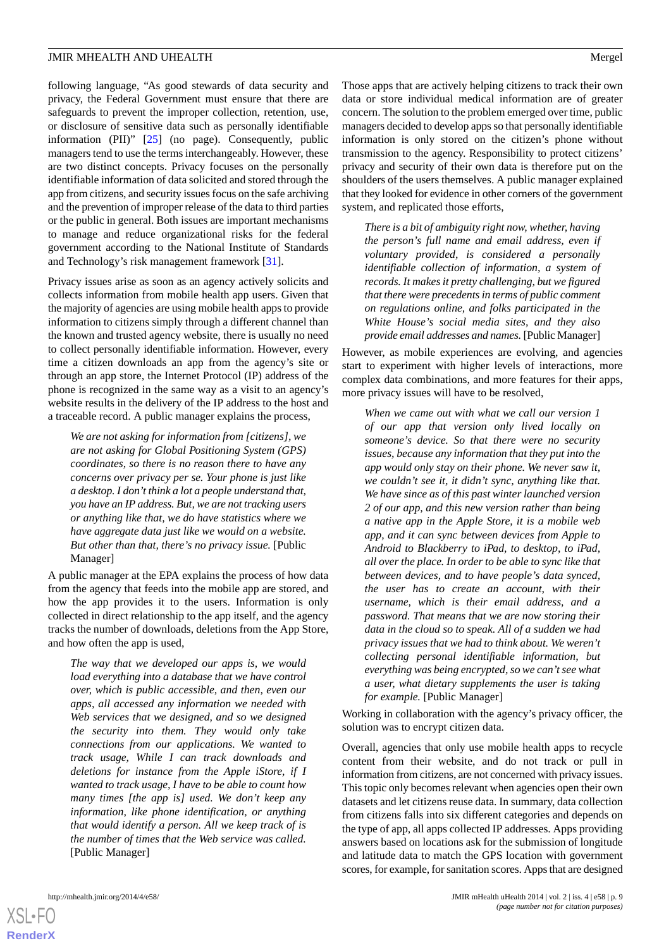following language, "As good stewards of data security and privacy, the Federal Government must ensure that there are safeguards to prevent the improper collection, retention, use, or disclosure of sensitive data such as personally identifiable information (PII)" [\[25](#page-11-18)] (no page). Consequently, public managers tend to use the terms interchangeably. However, these are two distinct concepts. Privacy focuses on the personally identifiable information of data solicited and stored through the app from citizens, and security issues focus on the safe archiving and the prevention of improper release of the data to third parties or the public in general. Both issues are important mechanisms to manage and reduce organizational risks for the federal government according to the National Institute of Standards and Technology's risk management framework [\[31](#page-11-24)].

Privacy issues arise as soon as an agency actively solicits and collects information from mobile health app users. Given that the majority of agencies are using mobile health apps to provide information to citizens simply through a different channel than the known and trusted agency website, there is usually no need to collect personally identifiable information. However, every time a citizen downloads an app from the agency's site or through an app store, the Internet Protocol (IP) address of the phone is recognized in the same way as a visit to an agency's website results in the delivery of the IP address to the host and a traceable record. A public manager explains the process,

*We are not asking for information from [citizens], we are not asking for Global Positioning System (GPS) coordinates, so there is no reason there to have any concerns over privacy per se. Your phone is just like a desktop. I don't think a lot a people understand that, you have an IP address. But, we are not tracking users or anything like that, we do have statistics where we have aggregate data just like we would on a website. But other than that, there's no privacy issue.* [Public Manager]

A public manager at the EPA explains the process of how data from the agency that feeds into the mobile app are stored, and how the app provides it to the users. Information is only collected in direct relationship to the app itself, and the agency tracks the number of downloads, deletions from the App Store, and how often the app is used,

*The way that we developed our apps is, we would load everything into a database that we have control over, which is public accessible, and then, even our apps, all accessed any information we needed with Web services that we designed, and so we designed the security into them. They would only take connections from our applications. We wanted to track usage, While I can track downloads and deletions for instance from the Apple iStore, if I wanted to track usage, I have to be able to count how many times [the app is] used. We don't keep any information, like phone identification, or anything that would identify a person. All we keep track of is the number of times that the Web service was called.* [Public Manager]

Those apps that are actively helping citizens to track their own data or store individual medical information are of greater concern. The solution to the problem emerged over time, public managers decided to develop apps so that personally identifiable information is only stored on the citizen's phone without transmission to the agency. Responsibility to protect citizens' privacy and security of their own data is therefore put on the shoulders of the users themselves. A public manager explained that they looked for evidence in other corners of the government system, and replicated those efforts,

*There is a bit of ambiguity right now, whether, having the person's full name and email address, even if voluntary provided, is considered a personally identifiable collection of information, a system of records. It makes it pretty challenging, but we figured that there were precedents in terms of public comment on regulations online, and folks participated in the White House's social media sites, and they also provide email addresses and names.* [Public Manager]

However, as mobile experiences are evolving, and agencies start to experiment with higher levels of interactions, more complex data combinations, and more features for their apps, more privacy issues will have to be resolved,

*When we came out with what we call our version 1 of our app that version only lived locally on someone's device. So that there were no security issues, because any information that they put into the app would only stay on their phone. We never saw it, we couldn't see it, it didn't sync, anything like that. We have since as of this past winter launched version 2 of our app, and this new version rather than being a native app in the Apple Store, it is a mobile web app, and it can sync between devices from Apple to Android to Blackberry to iPad, to desktop, to iPad, all over the place. In order to be able to sync like that between devices, and to have people's data synced, the user has to create an account, with their username, which is their email address, and a password. That means that we are now storing their data in the cloud so to speak. All of a sudden we had privacy issues that we had to think about. We weren't collecting personal identifiable information, but everything was being encrypted, so we can't see what a user, what dietary supplements the user is taking for example.* [Public Manager]

Working in collaboration with the agency's privacy officer, the solution was to encrypt citizen data.

Overall, agencies that only use mobile health apps to recycle content from their website, and do not track or pull in information from citizens, are not concerned with privacy issues. This topic only becomes relevant when agencies open their own datasets and let citizens reuse data. In summary, data collection from citizens falls into six different categories and depends on the type of app, all apps collected IP addresses. Apps providing answers based on locations ask for the submission of longitude and latitude data to match the GPS location with government scores, for example, for sanitation scores. Apps that are designed

```
XSL•FO
RenderX
```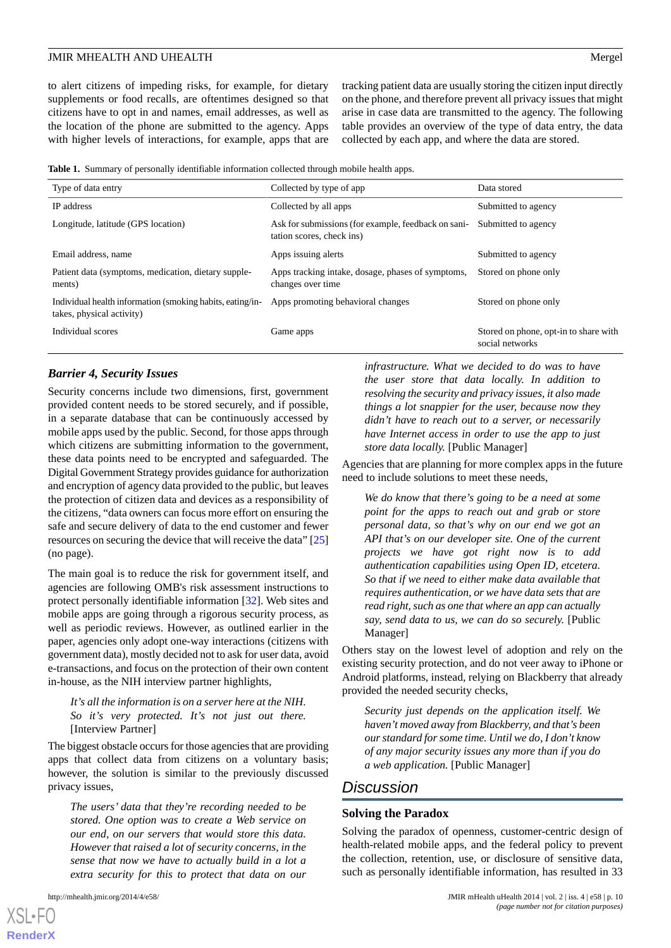to alert citizens of impeding risks, for example, for dietary supplements or food recalls, are oftentimes designed so that citizens have to opt in and names, email addresses, as well as the location of the phone are submitted to the agency. Apps with higher levels of interactions, for example, apps that are

tracking patient data are usually storing the citizen input directly on the phone, and therefore prevent all privacy issues that might arise in case data are transmitted to the agency. The following table provides an overview of the type of data entry, the data collected by each app, and where the data are stored.

**Table 1.** Summary of personally identifiable information collected through mobile health apps.

| Type of data entry                                                                     | Collected by type of app                                                         | Data stored                                              |
|----------------------------------------------------------------------------------------|----------------------------------------------------------------------------------|----------------------------------------------------------|
| <b>IP</b> address                                                                      | Collected by all apps                                                            | Submitted to agency                                      |
| Longitude, latitude (GPS location)                                                     | Ask for submissions (for example, feedback on sani-<br>tation scores, check ins) | Submitted to agency                                      |
| Email address, name                                                                    | Apps issuing alerts                                                              | Submitted to agency                                      |
| Patient data (symptoms, medication, dietary supple-<br>ments)                          | Apps tracking intake, dosage, phases of symptoms,<br>changes over time           | Stored on phone only                                     |
| Individual health information (smoking habits, eating/in-<br>takes, physical activity) | Apps promoting behavioral changes                                                | Stored on phone only                                     |
| Individual scores                                                                      | Game apps                                                                        | Stored on phone, opt-in to share with<br>social networks |

## *Barrier 4, Security Issues*

Security concerns include two dimensions, first, government provided content needs to be stored securely, and if possible, in a separate database that can be continuously accessed by mobile apps used by the public. Second, for those apps through which citizens are submitting information to the government, these data points need to be encrypted and safeguarded. The Digital Government Strategy provides guidance for authorization and encryption of agency data provided to the public, but leaves the protection of citizen data and devices as a responsibility of the citizens, "data owners can focus more effort on ensuring the safe and secure delivery of data to the end customer and fewer resources on securing the device that will receive the data" [\[25](#page-11-18)] (no page).

The main goal is to reduce the risk for government itself, and agencies are following OMB's risk assessment instructions to protect personally identifiable information [[32\]](#page-12-0). Web sites and mobile apps are going through a rigorous security process, as well as periodic reviews. However, as outlined earlier in the paper, agencies only adopt one-way interactions (citizens with government data), mostly decided not to ask for user data, avoid e-transactions, and focus on the protection of their own content in-house, as the NIH interview partner highlights,

## *It's all the information is on a server here at the NIH. So it's very protected. It's not just out there.* [Interview Partner]

The biggest obstacle occurs for those agencies that are providing apps that collect data from citizens on a voluntary basis; however, the solution is similar to the previously discussed privacy issues,

*The users' data that they're recording needed to be stored. One option was to create a Web service on our end, on our servers that would store this data. However that raised a lot of security concerns, in the sense that now we have to actually build in a lot a extra security for this to protect that data on our*

[XSL](http://www.w3.org/Style/XSL)•FO **[RenderX](http://www.renderx.com/)**

*infrastructure. What we decided to do was to have the user store that data locally. In addition to resolving the security and privacy issues, it also made things a lot snappier for the user, because now they didn't have to reach out to a server, or necessarily have Internet access in order to use the app to just store data locally.* [Public Manager]

Agencies that are planning for more complex apps in the future need to include solutions to meet these needs,

*We do know that there's going to be a need at some point for the apps to reach out and grab or store personal data, so that's why on our end we got an API that's on our developer site. One of the current projects we have got right now is to add authentication capabilities using Open ID, etcetera. So that if we need to either make data available that requires authentication, or we have data sets that are read right, such as one that where an app can actually say, send data to us, we can do so securely.* [Public Manager]

Others stay on the lowest level of adoption and rely on the existing security protection, and do not veer away to iPhone or Android platforms, instead, relying on Blackberry that already provided the needed security checks,

*Security just depends on the application itself. We haven't moved away from Blackberry, and that's been our standard for some time. Until we do, I don't know of any major security issues any more than if you do a web application.* [Public Manager]

# *Discussion*

#### **Solving the Paradox**

Solving the paradox of openness, customer-centric design of health-related mobile apps, and the federal policy to prevent the collection, retention, use, or disclosure of sensitive data, such as personally identifiable information, has resulted in 33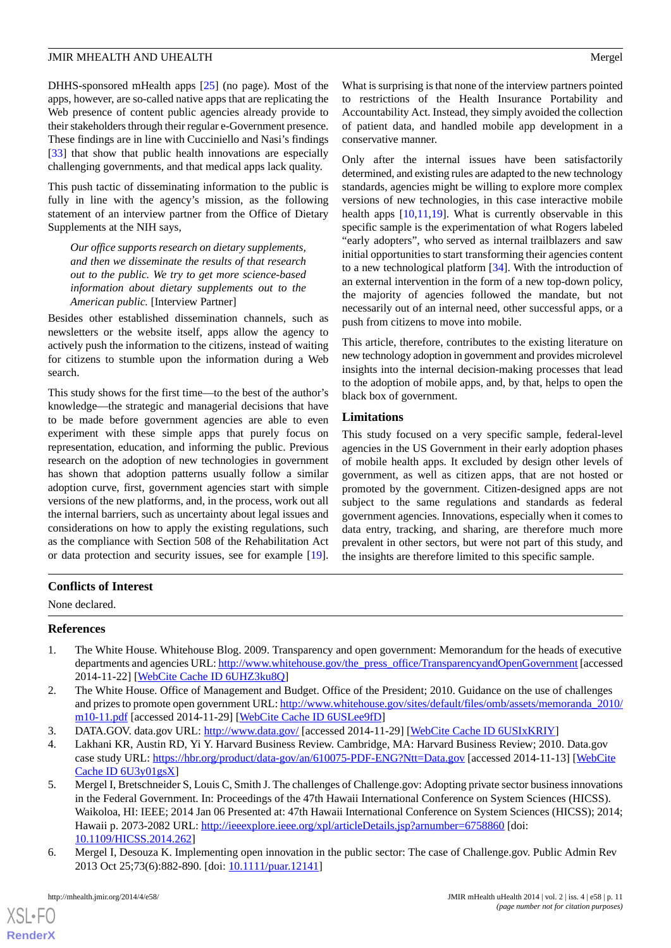DHHS-sponsored mHealth apps [[25\]](#page-11-18) (no page). Most of the apps, however, are so-called native apps that are replicating the Web presence of content public agencies already provide to their stakeholders through their regular e-Government presence. These findings are in line with Cucciniello and Nasi's findings [[33\]](#page-12-1) that show that public health innovations are especially challenging governments, and that medical apps lack quality.

This push tactic of disseminating information to the public is fully in line with the agency's mission, as the following statement of an interview partner from the Office of Dietary Supplements at the NIH says,

*Our office supports research on dietary supplements, and then we disseminate the results of that research out to the public. We try to get more science-based information about dietary supplements out to the American public.* [Interview Partner]

Besides other established dissemination channels, such as newsletters or the website itself, apps allow the agency to actively push the information to the citizens, instead of waiting for citizens to stumble upon the information during a Web search.

This study shows for the first time—to the best of the author's knowledge—the strategic and managerial decisions that have to be made before government agencies are able to even experiment with these simple apps that purely focus on representation, education, and informing the public. Previous research on the adoption of new technologies in government has shown that adoption patterns usually follow a similar adoption curve, first, government agencies start with simple versions of the new platforms, and, in the process, work out all the internal barriers, such as uncertainty about legal issues and considerations on how to apply the existing regulations, such as the compliance with Section 508 of the Rehabilitation Act or data protection and security issues, see for example [[19\]](#page-11-12).

What is surprising is that none of the interview partners pointed to restrictions of the Health Insurance Portability and Accountability Act. Instead, they simply avoided the collection of patient data, and handled mobile app development in a conservative manner.

Only after the internal issues have been satisfactorily determined, and existing rules are adapted to the new technology standards, agencies might be willing to explore more complex versions of new technologies, in this case interactive mobile health apps [[10](#page-11-3)[,11](#page-11-4),[19\]](#page-11-12). What is currently observable in this specific sample is the experimentation of what Rogers labeled "early adopters", who served as internal trailblazers and saw initial opportunities to start transforming their agencies content to a new technological platform [\[34](#page-12-2)]. With the introduction of an external intervention in the form of a new top-down policy, the majority of agencies followed the mandate, but not necessarily out of an internal need, other successful apps, or a push from citizens to move into mobile.

This article, therefore, contributes to the existing literature on new technology adoption in government and provides microlevel insights into the internal decision-making processes that lead to the adoption of mobile apps, and, by that, helps to open the black box of government.

# **Limitations**

This study focused on a very specific sample, federal-level agencies in the US Government in their early adoption phases of mobile health apps. It excluded by design other levels of government, as well as citizen apps, that are not hosted or promoted by the government. Citizen-designed apps are not subject to the same regulations and standards as federal government agencies. Innovations, especially when it comes to data entry, tracking, and sharing, are therefore much more prevalent in other sectors, but were not part of this study, and the insights are therefore limited to this specific sample.

# <span id="page-10-0"></span>**Conflicts of Interest**

None declared.

# <span id="page-10-1"></span>**References**

- <span id="page-10-2"></span>1. The White House. Whitehouse Blog. 2009. Transparency and open government: Memorandum for the heads of executive departments and agencies URL: [http://www.whitehouse.gov/the\\_press\\_office/TransparencyandOpenGovernment](http://www.whitehouse.gov/the_press_office/TransparencyandOpenGovernment) [accessed 2014-11-22] [\[WebCite Cache ID 6UHZ3ku8Q\]](http://www.webcitation.org/

                                                6UHZ3ku8Q)
- <span id="page-10-4"></span><span id="page-10-3"></span>2. The White House. Office of Management and Budget. Office of the President; 2010. Guidance on the use of challenges and prizes to promote open government URL: [http://www.whitehouse.gov/sites/default/files/omb/assets/memoranda\\_2010/](http://www.whitehouse.gov/sites/default/files/omb/assets/memoranda_2010/m10-11.pdf) [m10-11.pdf](http://www.whitehouse.gov/sites/default/files/omb/assets/memoranda_2010/m10-11.pdf) [accessed 2014-11-29] [[WebCite Cache ID 6USLee9fD\]](http://www.webcitation.org/

                                                6USLee9fD)
- 3. DATA.GOV. data.gov URL:<http://www.data.gov/> [accessed 2014-11-29] [\[WebCite Cache ID 6USIxKRIY\]](http://www.webcitation.org/

                                6USIxKRIY)
- 4. Lakhani KR, Austin RD, Yi Y. Harvard Business Review. Cambridge, MA: Harvard Business Review; 2010. Data.gov case study URL: <https://hbr.org/product/data-gov/an/610075-PDF-ENG?Ntt=Data.gov> [accessed 2014-11-13] [[WebCite](http://www.webcitation.org/

                                                6U3y01gsX) [Cache ID 6U3y01gsX](http://www.webcitation.org/

                                                6U3y01gsX)]
- <span id="page-10-5"></span>5. Mergel I, Bretschneider S, Louis C, Smith J. The challenges of Challenge.gov: Adopting private sector business innovations in the Federal Government. In: Proceedings of the 47th Hawaii International Conference on System Sciences (HICSS). Waikoloa, HI: IEEE; 2014 Jan 06 Presented at: 47th Hawaii International Conference on System Sciences (HICSS); 2014; Hawaii p. 2073-2082 URL: <http://ieeexplore.ieee.org/xpl/articleDetails.jsp?arnumber=6758860> [doi: [10.1109/HICSS.2014.262](http://dx.doi.org/10.1109/HICSS.2014.262)]
- 6. Mergel I, Desouza K. Implementing open innovation in the public sector: The case of Challenge.gov. Public Admin Rev 2013 Oct 25;73(6):882-890. [doi: [10.1111/puar.12141\]](http://dx.doi.org/10.1111/puar.12141)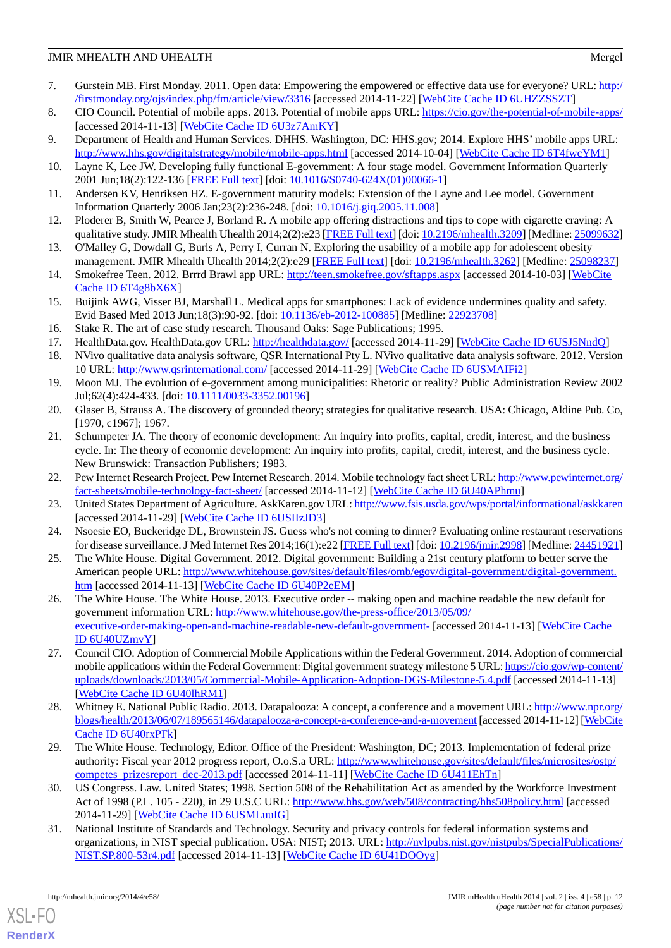- <span id="page-11-0"></span>7. Gurstein MB. First Monday. 2011. Open data: Empowering the empowered or effective data use for everyone? URL: [http:/](http://firstmonday.org/ojs/index.php/fm/article/view/3316) [/firstmonday.org/ojs/index.php/fm/article/view/3316](http://firstmonday.org/ojs/index.php/fm/article/view/3316) [accessed 2014-11-22] [[WebCite Cache ID 6UHZZSSZT\]](http://www.webcitation.org/

                                                6UHZZSSZT)
- <span id="page-11-1"></span>8. CIO Council. Potential of mobile apps. 2013. Potential of mobile apps URL: <https://cio.gov/the-potential-of-mobile-apps/> [accessed 2014-11-13] [\[WebCite Cache ID 6U3z7AmKY](http://www.webcitation.org/

                                                6U3z7AmKY)]
- <span id="page-11-3"></span><span id="page-11-2"></span>9. Department of Health and Human Services. DHHS. Washington, DC: HHS.gov; 2014. Explore HHS' mobile apps URL: <http://www.hhs.gov/digitalstrategy/mobile/mobile-apps.html> [accessed 2014-10-04] [[WebCite Cache ID 6T4fwcYM1\]](http://www.webcitation.org/

                                                6T4fwcYM1)
- <span id="page-11-4"></span>10. Layne K, Lee JW. Developing fully functional E-government: A four stage model. Government Information Quarterly 2001 Jun;18(2):122-136 [\[FREE Full text\]](http://www.sciencedirect.com/science/article/pii/S0740624X01000661) [doi: [10.1016/S0740-624X\(01\)00066-1](http://dx.doi.org/10.1016/S0740-624X(01)00066-1)]
- <span id="page-11-5"></span>11. Andersen KV, Henriksen HZ. E-government maturity models: Extension of the Layne and Lee model. Government Information Quarterly 2006 Jan;23(2):236-248. [doi: [10.1016/j.giq.2005.11.008](http://dx.doi.org/10.1016/j.giq.2005.11.008)]
- <span id="page-11-6"></span>12. Ploderer B, Smith W, Pearce J, Borland R. A mobile app offering distractions and tips to cope with cigarette craving: A qualitative study. JMIR Mhealth Uhealth 2014;2(2):e23 [[FREE Full text](http://mhealth.jmir.org/2014/2/e23/)] [doi: [10.2196/mhealth.3209\]](http://dx.doi.org/10.2196/mhealth.3209) [Medline: [25099632\]](http://www.ncbi.nlm.nih.gov/entrez/query.fcgi?cmd=Retrieve&db=PubMed&list_uids=25099632&dopt=Abstract)
- <span id="page-11-7"></span>13. O'Malley G, Dowdall G, Burls A, Perry I, Curran N. Exploring the usability of a mobile app for adolescent obesity management. JMIR Mhealth Uhealth 2014;2(2):e29 [\[FREE Full text\]](http://mhealth.jmir.org/2014/2/e29/) [doi: [10.2196/mhealth.3262](http://dx.doi.org/10.2196/mhealth.3262)] [Medline: [25098237\]](http://www.ncbi.nlm.nih.gov/entrez/query.fcgi?cmd=Retrieve&db=PubMed&list_uids=25098237&dopt=Abstract)
- <span id="page-11-8"></span>14. Smokefree Teen. 2012. Brrrd Brawl app URL: <http://teen.smokefree.gov/sftapps.aspx> [accessed 2014-10-03] [[WebCite](http://www.webcitation.org/

                                                6T4g8bX6X) [Cache ID 6T4g8bX6X\]](http://www.webcitation.org/

                                                6T4g8bX6X)
- <span id="page-11-10"></span><span id="page-11-9"></span>15. Buijink AWG, Visser BJ, Marshall L. Medical apps for smartphones: Lack of evidence undermines quality and safety. Evid Based Med 2013 Jun;18(3):90-92. [doi: [10.1136/eb-2012-100885](http://dx.doi.org/10.1136/eb-2012-100885)] [Medline: [22923708](http://www.ncbi.nlm.nih.gov/entrez/query.fcgi?cmd=Retrieve&db=PubMed&list_uids=22923708&dopt=Abstract)]
- <span id="page-11-11"></span>16. Stake R. The art of case study research. Thousand Oaks: Sage Publications; 1995.
- <span id="page-11-12"></span>17. HealthData.gov. HealthData.gov URL:<http://healthdata.gov/> [accessed 2014-11-29] [[WebCite Cache ID 6USJ5NndQ\]](http://www.webcitation.org/

                                                6USJ5NndQ)
- 18. NVivo qualitative data analysis software, QSR International Pty L. NVivo qualitative data analysis software. 2012. Version 10 URL:<http://www.qsrinternational.com/> [accessed 2014-11-29] [\[WebCite Cache ID 6USMAIFi2](http://www.webcitation.org/

                                                6USMAIFi2)]
- <span id="page-11-14"></span><span id="page-11-13"></span>19. Moon MJ. The evolution of e-government among municipalities: Rhetoric or reality? Public Administration Review 2002 Jul; 62(4): 424-433. [doi: [10.1111/0033-3352.00196](http://dx.doi.org/10.1111/0033-3352.00196)]
- 20. Glaser B, Strauss A. The discovery of grounded theory; strategies for qualitative research. USA: Chicago, Aldine Pub. Co, [1970, c1967]; 1967.
- <span id="page-11-16"></span><span id="page-11-15"></span>21. Schumpeter JA. The theory of economic development: An inquiry into profits, capital, credit, interest, and the business cycle. In: The theory of economic development: An inquiry into profits, capital, credit, interest, and the business cycle. New Brunswick: Transaction Publishers; 1983.
- <span id="page-11-17"></span>22. Pew Internet Research Project. Pew Internet Research. 2014. Mobile technology fact sheet URL: [http://www.pewinternet.org/](http://www.pewinternet.org/fact-sheets/mobile-technology-fact-sheet/) [fact-sheets/mobile-technology-fact-sheet/](http://www.pewinternet.org/fact-sheets/mobile-technology-fact-sheet/) [accessed 2014-11-12] [[WebCite Cache ID 6U40APhmu](http://www.webcitation.org/

                                                6U40APhmu)]
- <span id="page-11-18"></span>23. United States Department of Agriculture. AskKaren.gov URL:<http://www.fsis.usda.gov/wps/portal/informational/askkaren> [accessed 2014-11-29] [\[WebCite Cache ID 6USIIzJD3\]](http://www.webcitation.org/

                                                6USIIzJD3)
- <span id="page-11-19"></span>24. Nsoesie EO, Buckeridge DL, Brownstein JS. Guess who's not coming to dinner? Evaluating online restaurant reservations for disease surveillance. J Med Internet Res 2014;16(1):e22 [\[FREE Full text](http://www.jmir.org/2014/1/e22/)] [doi: [10.2196/jmir.2998](http://dx.doi.org/10.2196/jmir.2998)] [Medline: [24451921](http://www.ncbi.nlm.nih.gov/entrez/query.fcgi?cmd=Retrieve&db=PubMed&list_uids=24451921&dopt=Abstract)]
- 25. The White House. Digital Government. 2012. Digital government: Building a 21st century platform to better serve the American people URL: [http://www.whitehouse.gov/sites/default/files/omb/egov/digital-government/digital-government.](http://www.whitehouse.gov/sites/default/files/omb/egov/digital-government/digital-government.htm) [htm](http://www.whitehouse.gov/sites/default/files/omb/egov/digital-government/digital-government.htm) [accessed 2014-11-13] [\[WebCite Cache ID 6U40P2eEM](http://www.webcitation.org/

                                                6U40P2eEM)]
- <span id="page-11-20"></span>26. The White House. The White House. 2013. Executive order -- making open and machine readable the new default for government information URL: [http://www.whitehouse.gov/the-press-office/2013/05/09/](http://www.whitehouse.gov/the-press-office/2013/05/09/executive-order-making-open-and-machine-readable-new-default-government-) [executive-order-making-open-and-machine-readable-new-default-government-](http://www.whitehouse.gov/the-press-office/2013/05/09/executive-order-making-open-and-machine-readable-new-default-government-) [accessed 2014-11-13] [[WebCite Cache](http://www.webcitation.org/

                                                6U40UZmvY) [ID 6U40UZmvY](http://www.webcitation.org/

                                                6U40UZmvY)]
- <span id="page-11-22"></span><span id="page-11-21"></span>27. Council CIO. Adoption of Commercial Mobile Applications within the Federal Government. 2014. Adoption of commercial mobile applications within the Federal Government: Digital government strategy milestone 5 URL: [https://cio.gov/wp-content/](https://cio.gov/wp-content/uploads/downloads/2013/05/Commercial-Mobile-Application-Adoption-DGS-Milestone-5.4.pdf) [uploads/downloads/2013/05/Commercial-Mobile-Application-Adoption-DGS-Milestone-5.4.pdf](https://cio.gov/wp-content/uploads/downloads/2013/05/Commercial-Mobile-Application-Adoption-DGS-Milestone-5.4.pdf) [accessed 2014-11-13] [[WebCite Cache ID 6U40lhRM1](http://www.webcitation.org/

                                                6U40lhRM1)]
- <span id="page-11-23"></span>28. Whitney E. National Public Radio. 2013. Datapalooza: A concept, a conference and a movement URL: [http://www.npr.org/](http://www.npr.org/blogs/health/2013/06/07/189565146/datapalooza-a-concept-a-conference-and-a-movement) [blogs/health/2013/06/07/189565146/datapalooza-a-concept-a-conference-and-a-movement](http://www.npr.org/blogs/health/2013/06/07/189565146/datapalooza-a-concept-a-conference-and-a-movement) [accessed 2014-11-12] [[WebCite](http://www.webcitation.org/

                                                6U40rxPFk) [Cache ID 6U40rxPFk\]](http://www.webcitation.org/

                                                6U40rxPFk)
- <span id="page-11-24"></span>29. The White House. Technology, Editor. Office of the President: Washington, DC; 2013. Implementation of federal prize authority: Fiscal year 2012 progress report, O.o.S.a URL: [http://www.whitehouse.gov/sites/default/files/microsites/ostp/](http://www.whitehouse.gov/sites/default/files/microsites/ostp/competes_prizesreport_dec-2013.pdf) [competes\\_prizesreport\\_dec-2013.pdf](http://www.whitehouse.gov/sites/default/files/microsites/ostp/competes_prizesreport_dec-2013.pdf) [accessed 2014-11-11] [\[WebCite Cache ID 6U411EhTn\]](http://www.webcitation.org/

                                                6U411EhTn)
- 30. US Congress. Law. United States; 1998. Section 508 of the Rehabilitation Act as amended by the Workforce Investment Act of 1998 (P.L. 105 - 220), in 29 U.S.C URL: <http://www.hhs.gov/web/508/contracting/hhs508policy.html> [accessed 2014-11-29] [\[WebCite Cache ID 6USMLuuIG\]](http://www.webcitation.org/

                                                6USMLuuIG)
- 31. National Institute of Standards and Technology. Security and privacy controls for federal information systems and organizations, in NIST special publication. USA: NIST; 2013. URL: [http://nvlpubs.nist.gov/nistpubs/SpecialPublications/](http://nvlpubs.nist.gov/nistpubs/SpecialPublications/NIST.SP.800-53r4.pdf) [NIST.SP.800-53r4.pdf](http://nvlpubs.nist.gov/nistpubs/SpecialPublications/NIST.SP.800-53r4.pdf) [accessed 2014-11-13] [[WebCite Cache ID 6U41DOOyg](http://www.webcitation.org/

                                                6U41DOOyg)]